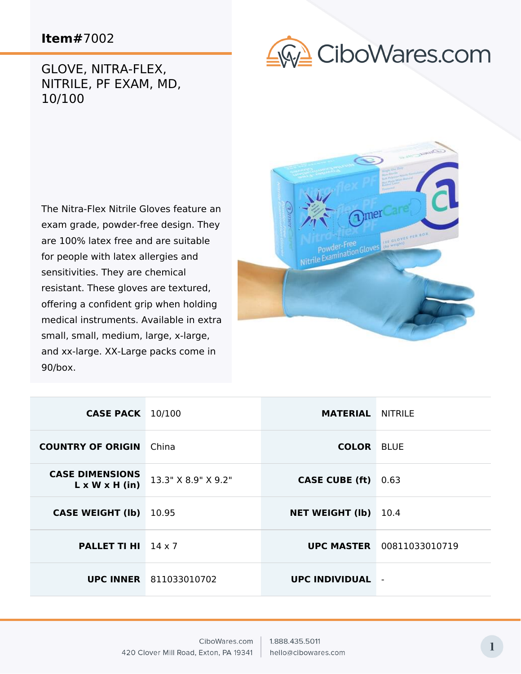## GLOVE, NITRA-FLEX, NITRILE, PF EXAM, MD, 10/100



The Nitra-Flex Nitrile Gloves feature an exam grade, powder-free design. They are 100% latex free and are suitable for people with latex allergies and sensitivities. They are chemical resistant. These gloves are textured, offering a confident grip when holding medical instruments. Available in extra small, small, medium, large, x-large, and xx-large. XX-Large packs come in 90/box.



| <b>CASE PACK</b> 10/100                              |                               | <b>MATERIAL NITRILE</b> |                                  |
|------------------------------------------------------|-------------------------------|-------------------------|----------------------------------|
| <b>COUNTRY OF ORIGIN</b>                             | China                         | <b>COLOR BLUE</b>       |                                  |
| <b>CASE DIMENSIONS</b><br>$L \times W \times H$ (in) | 13.3" X 8.9" X 9.2"           | <b>CASE CUBE (ft)</b>   | 0.63                             |
| <b>CASE WEIGHT (Ib)</b>                              | 10.95                         | <b>NET WEIGHT (Ib)</b>  | 10.4                             |
| <b>PALLET TI HI</b> $14 \times 7$                    |                               |                         | <b>UPC MASTER</b> 00811033010719 |
|                                                      | <b>UPC INNER</b> 811033010702 | UPC INDIVIDUAL          | $\blacksquare$                   |